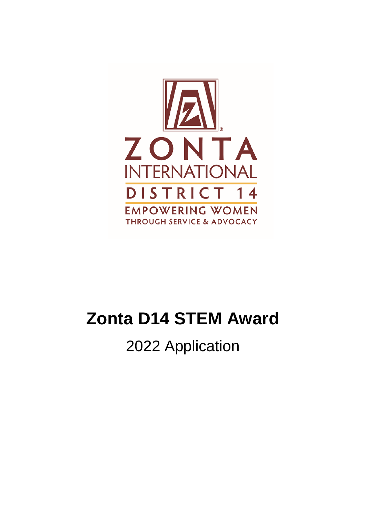

# **Zonta D14 STEM Award**

# 2022 Application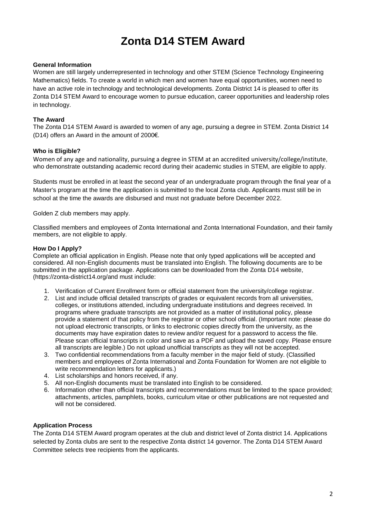## **Zonta D14 STEM Award**

#### **General Information**

Women are still largely underrepresented in technology and other STEM (Science Technology Engineering Mathematics) fields. To create a world in which men and women have equal opportunities, women need to have an active role in technology and technological developments. Zonta District 14 is pleased to offer its Zonta D14 STEM Award to encourage women to pursue education, career opportunities and leadership roles in technology.

#### **The Award**

The Zonta D14 STEM Award is awarded to women of any age, pursuing a degree in STEM. Zonta District 14 (D14) offers an Award in the amount of 2000€.

#### **Who is Eligible?**

Women of any age and nationality, pursuing a degree in STEM at an accredited university/college/institute, who demonstrate outstanding academic record during their academic studies in STEM, are eligible to apply.

Students must be enrolled in at least the second year of an undergraduate program through the final year of a Master's program at the time the application is submitted to the local Zonta club. Applicants must still be in school at the time the awards are disbursed and must not graduate before December 2022.

Golden Z club members may apply.

Classified members and employees of Zonta International and Zonta International Foundation, and their family members, are not eligible to apply.

#### **How Do I Apply?**

Complete an official application in English. Please note that only typed applications will be accepted and considered. All non-English documents must be translated into English. The following documents are to be submitted in the application package. Applications can be downloaded from the Zonta D14 website, (https://zonta-district14.org/and must include:

- 1. Verification of Current Enrollment form or official statement from the university/college registrar.
- 2. List and include official detailed transcripts of grades or equivalent records from all universities, colleges, or institutions attended, including undergraduate institutions and degrees received. In programs where graduate transcripts are not provided as a matter of institutional policy, please provide a statement of that policy from the registrar or other school official. (Important note: please do not upload electronic transcripts, or links to electronic copies directly from the university, as the documents may have expiration dates to review and/or request for a password to access the file. Please scan official transcripts in color and save as a PDF and upload the saved copy. Please ensure all transcripts are legible.) Do not upload unofficial transcripts as they will not be accepted.
- 3. Two confidential recommendations from a faculty member in the major field of study. (Classified members and employees of Zonta International and Zonta Foundation for Women are not eligible to write recommendation letters for applicants.)
- 4. List scholarships and honors received, if any.
- 5. All non-English documents must be translated into English to be considered.
- 6. Information other than official transcripts and recommendations must be limited to the space provided; attachments, articles, pamphlets, books, curriculum vitae or other publications are not requested and will not be considered.

#### **Application Process**

The Zonta D14 STEM Award program operates at the club and district level of Zonta district 14. Applications selected by Zonta clubs are sent to the respective Zonta district 14 governor. The Zonta D14 STEM Award Committee selects tree recipients from the applicants.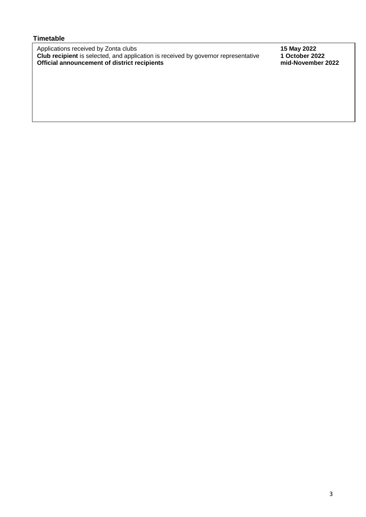#### **Timetable**

Applications received by Zonta clubs **15 May 2022 Club recipient** is selected, and application is received by governor representative **1 October 2022 Official announcement of district recipients mid-November 2022**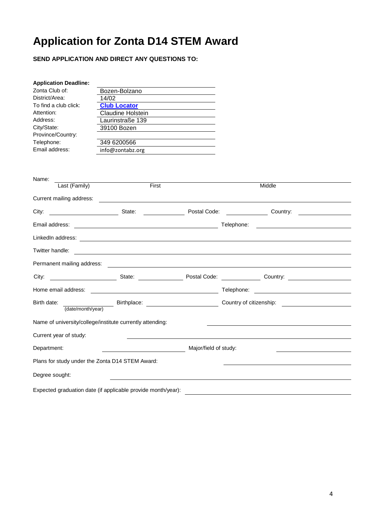## **Application for Zonta D14 STEM Award**

**SEND APPLICATION AND DIRECT ANY QUESTIONS TO:**

| <b>Application Deadline:</b>                    |                                                                                                                       |                                                                                                      |
|-------------------------------------------------|-----------------------------------------------------------------------------------------------------------------------|------------------------------------------------------------------------------------------------------|
| Zonta Club of:                                  | Bozen-Bolzano                                                                                                         |                                                                                                      |
| District/Area:                                  | 14/02                                                                                                                 |                                                                                                      |
| To find a club click:                           | <b>Club Locator</b>                                                                                                   |                                                                                                      |
| Attention:                                      | Claudine Holstein                                                                                                     |                                                                                                      |
| Address:                                        | Laurinstraße 139                                                                                                      |                                                                                                      |
| City/State:                                     | 39100 Bozen                                                                                                           |                                                                                                      |
| Province/Country:                               |                                                                                                                       |                                                                                                      |
| Telephone:                                      | 349 6200566                                                                                                           |                                                                                                      |
| Email address:                                  | info@zontabz.org                                                                                                      |                                                                                                      |
| Name:                                           |                                                                                                                       |                                                                                                      |
| Last (Family)                                   | First                                                                                                                 | Middle                                                                                               |
| Current mailing address:                        |                                                                                                                       |                                                                                                      |
| City:                                           | State: State: Postal Code:                                                                                            | <b>Country:</b>                                                                                      |
| Email address:                                  |                                                                                                                       |                                                                                                      |
|                                                 |                                                                                                                       |                                                                                                      |
|                                                 |                                                                                                                       |                                                                                                      |
| Permanent mailing address:                      |                                                                                                                       |                                                                                                      |
| City:                                           |                                                                                                                       |                                                                                                      |
| Home email address:                             | <u> 1980 - Andrea Barbara, política establecera en la contrada de la contrada de la contrada de la contrada de la</u> |                                                                                                      |
| Birth date:                                     |                                                                                                                       | Birthplace: <u>Country</u> of citizenship: <b>Country of citizenship</b> : National Birthplace: 2014 |
| (date/month/year)                               |                                                                                                                       |                                                                                                      |
|                                                 | Name of university/college/institute currently attending:                                                             |                                                                                                      |
| Current year of study:                          |                                                                                                                       |                                                                                                      |
| Department:                                     | Major/field of study:                                                                                                 |                                                                                                      |
| Plans for study under the Zonta D14 STEM Award: |                                                                                                                       |                                                                                                      |
| Degree sought:                                  |                                                                                                                       |                                                                                                      |
|                                                 | Expected graduation date (if applicable provide month/year):                                                          |                                                                                                      |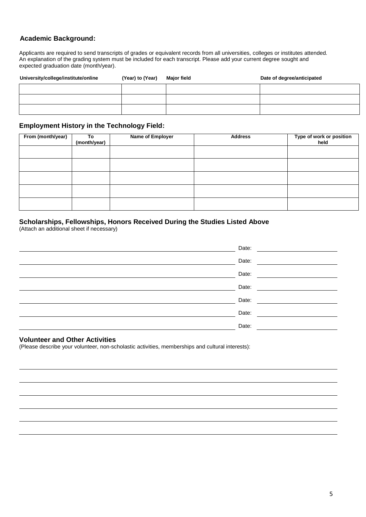#### **Academic Background:**

Applicants are required to send transcripts of grades or equivalent records from all universities, colleges or institutes attended. An explanation of the grading system must be included for each transcript. Please add your current degree sought and expected graduation date (month/year).

| University/college/institute/online | (Year) to (Year) | <b>Major field</b> | Date of degree/anticipated |
|-------------------------------------|------------------|--------------------|----------------------------|
|                                     |                  |                    |                            |
|                                     |                  |                    |                            |
|                                     |                  |                    |                            |

#### **Employment History in the Technology Field:**

| From (month/year) | Тo<br>(month/year) | <b>Name of Employer</b> | <b>Address</b> | Type of work or position<br>held |
|-------------------|--------------------|-------------------------|----------------|----------------------------------|
|                   |                    |                         |                |                                  |
|                   |                    |                         |                |                                  |
|                   |                    |                         |                |                                  |
|                   |                    |                         |                |                                  |
|                   |                    |                         |                |                                  |

#### **Scholarships, Fellowships, Honors Received During the Studies Listed Above**

(Attach an additional sheet if necessary)

| Date: |
|-------|
| Date: |
| Date: |
| Date: |
| Date: |
| Date: |
| Date: |

#### **Volunteer and Other Activities**

(Please describe your volunteer, non-scholastic activities, memberships and cultural interests):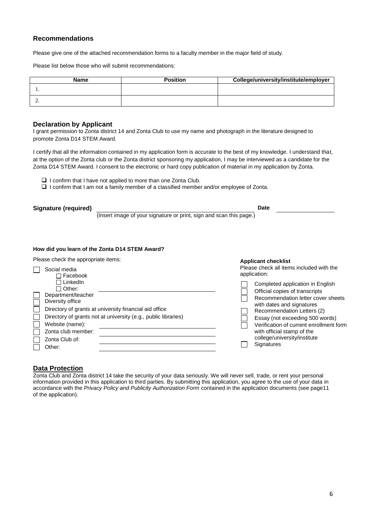#### **Recommendations**

Please give one of the attached recommendation forms to a faculty member in the major field of study.

Please list below those who will submit recommendations:

| <b>Name</b> | <b>Position</b> | College/university/institute/employer |
|-------------|-----------------|---------------------------------------|
|             |                 |                                       |
| <u>.</u>    |                 |                                       |

#### **Declaration by Applicant**

I grant permission to Zonta district 14 and Zonta Club to use my name and photograph in the literature designed to promote Zonta D14 STEM Award.

I certify that all the information contained in my application form is accurate to the best of my knowledge. I understand that, at the option of the Zonta club or the Zonta district sponsoring my application, I may be interviewed as a candidate for the Zonta D14 STEM Award. I consent to the electronic or hard copy publication of material in my application by Zonta.

- $\Box$  I confirm that I have not applied to more than one Zonta Club.
- $\Box$  I confirm that I am not a family member of a classified member and/or employee of Zonta.

| Signature (required) |                                                                     | Date |  |
|----------------------|---------------------------------------------------------------------|------|--|
|                      | (Insert image of your signature or print, sign and scan this page.) |      |  |

#### **How did you learn of the Zonta D14 STEM Award?**

Please check the appropriate items:

| Social media<br>□ Facebook                                                                                                                                                                                                                                               | <b>APPROART CHECARGE</b><br>Please check all items included with the<br>application:                                                                                                                                                                                                                                                 |  |
|--------------------------------------------------------------------------------------------------------------------------------------------------------------------------------------------------------------------------------------------------------------------------|--------------------------------------------------------------------------------------------------------------------------------------------------------------------------------------------------------------------------------------------------------------------------------------------------------------------------------------|--|
| □ LinkedIn<br>$\sqcap$ Other:<br>Department/teacher<br>Diversity office<br>Directory of grants at university financial aid office<br>Directory of grants not at university (e.g., public libraries)<br>Website (name):<br>Zonta club member:<br>Zonta Club of:<br>Other: | Completed application in English<br>Official copies of transcripts<br>Recommendation letter cover sheets<br>with dates and signatures<br>Recommendation Letters (2)<br>Essay (not exceeding 500 words)<br>Verification of current enrollment form<br>with official stamp of the<br>college/university/institute<br><b>Signatures</b> |  |

**Applicant checklist**

#### **Data Protection**

Zonta Club and Zonta district 14 take the security of your data seriously. We will never sell, trade, or rent your personal information provided in this application to third parties. By submitting this application, you agree to the use of your data in accordance with the *Privacy Policy and Publicity Authorization Form* contained in the application documents (see page11 of the application).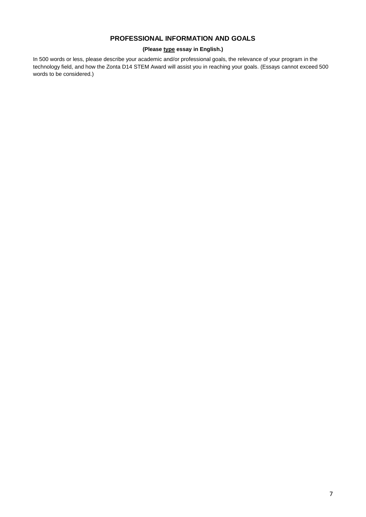#### **PROFESSIONAL INFORMATION AND GOALS**

#### **(Please type essay in English.)**

In 500 words or less, please describe your academic and/or professional goals, the relevance of your program in the technology field, and how the Zonta D14 STEM Award will assist you in reaching your goals. (Essays cannot exceed 500 words to be considered.)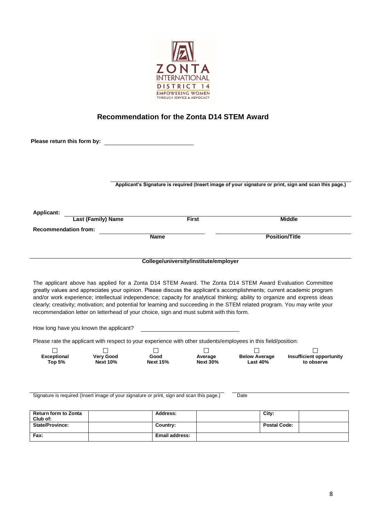

## **Recommendation for the Zonta D14 STEM Award**

| Please return this form by:                                       |                                        |                                                                                                                                                                                                                                                                                                                                                                  |                 |                      |                       |                                 |
|-------------------------------------------------------------------|----------------------------------------|------------------------------------------------------------------------------------------------------------------------------------------------------------------------------------------------------------------------------------------------------------------------------------------------------------------------------------------------------------------|-----------------|----------------------|-----------------------|---------------------------------|
|                                                                   |                                        |                                                                                                                                                                                                                                                                                                                                                                  |                 |                      |                       |                                 |
|                                                                   |                                        |                                                                                                                                                                                                                                                                                                                                                                  |                 |                      |                       |                                 |
|                                                                   |                                        |                                                                                                                                                                                                                                                                                                                                                                  |                 |                      |                       |                                 |
|                                                                   |                                        | Applicant's Signature is required (Insert image of your signature or print, sign and scan this page.)                                                                                                                                                                                                                                                            |                 |                      |                       |                                 |
|                                                                   |                                        |                                                                                                                                                                                                                                                                                                                                                                  |                 |                      |                       |                                 |
| <b>Applicant:</b>                                                 |                                        |                                                                                                                                                                                                                                                                                                                                                                  |                 |                      |                       |                                 |
|                                                                   | <b>Last (Family) Name</b>              |                                                                                                                                                                                                                                                                                                                                                                  | <b>First</b>    |                      | <b>Middle</b>         |                                 |
| <b>Recommendation from:</b>                                       |                                        | <b>Name</b>                                                                                                                                                                                                                                                                                                                                                      |                 |                      | <b>Position/Title</b> |                                 |
|                                                                   |                                        |                                                                                                                                                                                                                                                                                                                                                                  |                 |                      |                       |                                 |
|                                                                   |                                        |                                                                                                                                                                                                                                                                                                                                                                  |                 |                      |                       |                                 |
|                                                                   |                                        | College/university/institute/employer                                                                                                                                                                                                                                                                                                                            |                 |                      |                       |                                 |
|                                                                   |                                        |                                                                                                                                                                                                                                                                                                                                                                  |                 |                      |                       |                                 |
|                                                                   |                                        |                                                                                                                                                                                                                                                                                                                                                                  |                 |                      |                       |                                 |
|                                                                   |                                        | The applicant above has applied for a Zonta D14 STEM Award. The Zonta D14 STEM Award Evaluation Committee<br>greatly values and appreciates your opinion. Please discuss the applicant's accomplishments; current academic program<br>and/or work experience; intellectual independence; capacity for analytical thinking; ability to organize and express ideas |                 |                      |                       |                                 |
|                                                                   |                                        | clearly; creativity; motivation; and potential for learning and succeeding in the STEM related program. You may write your<br>recommendation letter on letterhead of your choice, sign and must submit with this form.                                                                                                                                           |                 |                      |                       |                                 |
|                                                                   | How long have you known the applicant? |                                                                                                                                                                                                                                                                                                                                                                  |                 |                      |                       |                                 |
|                                                                   |                                        |                                                                                                                                                                                                                                                                                                                                                                  |                 |                      |                       |                                 |
|                                                                   |                                        | Please rate the applicant with respect to your experience with other students/employees in this field/position:<br>$\perp$                                                                                                                                                                                                                                       |                 | $\perp$              |                       |                                 |
| <b>Exceptional</b>                                                | <b>Very Good</b>                       | Good                                                                                                                                                                                                                                                                                                                                                             | Average         | <b>Below Average</b> |                       | <b>Insufficient opportunity</b> |
| <b>Top 5%</b>                                                     | <b>Next 10%</b>                        | <b>Next 15%</b>                                                                                                                                                                                                                                                                                                                                                  | <b>Next 30%</b> | <b>Last 40%</b>      |                       | to observe                      |
|                                                                   |                                        |                                                                                                                                                                                                                                                                                                                                                                  |                 |                      |                       |                                 |
|                                                                   |                                        |                                                                                                                                                                                                                                                                                                                                                                  |                 |                      |                       |                                 |
|                                                                   |                                        | Signature is required (Insert image of your signature or print, sign and scan this page.)                                                                                                                                                                                                                                                                        |                 | Date                 |                       |                                 |
|                                                                   |                                        |                                                                                                                                                                                                                                                                                                                                                                  |                 |                      |                       |                                 |
|                                                                   |                                        | Address:                                                                                                                                                                                                                                                                                                                                                         |                 | City:                |                       |                                 |
| <b>Return form to Zonta</b><br>Club of:<br><b>State/Province:</b> |                                        | Country:<br><b>Email address:</b>                                                                                                                                                                                                                                                                                                                                |                 | <b>Postal Code:</b>  |                       |                                 |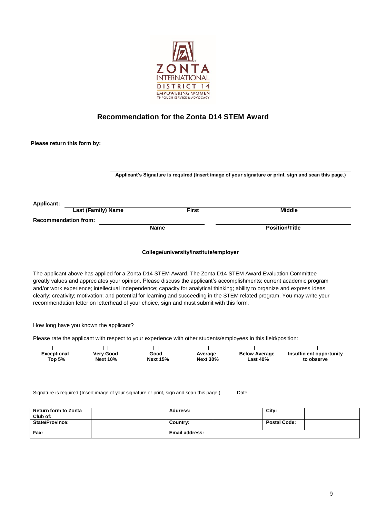

### **Recommendation for the Zonta D14 STEM Award**

| Please return this form by:                                                                                                                                                                                                                                                                                                                                                                                                                                                                                                                                                                                                                                                                                                                                                                                                                                                                                                       |                                     |                                       |                            |                                         |                       |                                               |
|-----------------------------------------------------------------------------------------------------------------------------------------------------------------------------------------------------------------------------------------------------------------------------------------------------------------------------------------------------------------------------------------------------------------------------------------------------------------------------------------------------------------------------------------------------------------------------------------------------------------------------------------------------------------------------------------------------------------------------------------------------------------------------------------------------------------------------------------------------------------------------------------------------------------------------------|-------------------------------------|---------------------------------------|----------------------------|-----------------------------------------|-----------------------|-----------------------------------------------|
|                                                                                                                                                                                                                                                                                                                                                                                                                                                                                                                                                                                                                                                                                                                                                                                                                                                                                                                                   |                                     |                                       |                            |                                         |                       |                                               |
| Applicant's Signature is required (Insert image of your signature or print, sign and scan this page.)                                                                                                                                                                                                                                                                                                                                                                                                                                                                                                                                                                                                                                                                                                                                                                                                                             |                                     |                                       |                            |                                         |                       |                                               |
| <b>Applicant:</b>                                                                                                                                                                                                                                                                                                                                                                                                                                                                                                                                                                                                                                                                                                                                                                                                                                                                                                                 |                                     |                                       |                            |                                         |                       |                                               |
|                                                                                                                                                                                                                                                                                                                                                                                                                                                                                                                                                                                                                                                                                                                                                                                                                                                                                                                                   | <b>Last (Family) Name</b>           |                                       | <b>First</b>               |                                         | <b>Middle</b>         |                                               |
| <b>Recommendation from:</b>                                                                                                                                                                                                                                                                                                                                                                                                                                                                                                                                                                                                                                                                                                                                                                                                                                                                                                       |                                     |                                       |                            |                                         |                       |                                               |
|                                                                                                                                                                                                                                                                                                                                                                                                                                                                                                                                                                                                                                                                                                                                                                                                                                                                                                                                   |                                     | <b>Name</b>                           |                            |                                         | <b>Position/Title</b> |                                               |
|                                                                                                                                                                                                                                                                                                                                                                                                                                                                                                                                                                                                                                                                                                                                                                                                                                                                                                                                   |                                     |                                       |                            |                                         |                       |                                               |
|                                                                                                                                                                                                                                                                                                                                                                                                                                                                                                                                                                                                                                                                                                                                                                                                                                                                                                                                   |                                     | College/university/institute/employer |                            |                                         |                       |                                               |
|                                                                                                                                                                                                                                                                                                                                                                                                                                                                                                                                                                                                                                                                                                                                                                                                                                                                                                                                   |                                     |                                       |                            |                                         |                       |                                               |
|                                                                                                                                                                                                                                                                                                                                                                                                                                                                                                                                                                                                                                                                                                                                                                                                                                                                                                                                   |                                     |                                       |                            |                                         |                       |                                               |
|                                                                                                                                                                                                                                                                                                                                                                                                                                                                                                                                                                                                                                                                                                                                                                                                                                                                                                                                   |                                     |                                       |                            |                                         |                       |                                               |
| <b>Exceptional</b><br><b>Top 5%</b>                                                                                                                                                                                                                                                                                                                                                                                                                                                                                                                                                                                                                                                                                                                                                                                                                                                                                               | <b>Very Good</b><br><b>Next 10%</b> | Good<br><b>Next 15%</b>               | Average<br><b>Next 30%</b> | <b>Below Average</b><br><b>Last 40%</b> |                       | <b>Insufficient opportunity</b><br>to observe |
|                                                                                                                                                                                                                                                                                                                                                                                                                                                                                                                                                                                                                                                                                                                                                                                                                                                                                                                                   |                                     |                                       |                            | Date                                    |                       |                                               |
|                                                                                                                                                                                                                                                                                                                                                                                                                                                                                                                                                                                                                                                                                                                                                                                                                                                                                                                                   |                                     | <b>Address:</b>                       |                            | City:                                   |                       |                                               |
| The applicant above has applied for a Zonta D14 STEM Award. The Zonta D14 STEM Award Evaluation Committee<br>greatly values and appreciates your opinion. Please discuss the applicant's accomplishments; current academic program<br>and/or work experience; intellectual independence; capacity for analytical thinking; ability to organize and express ideas<br>clearly; creativity; motivation; and potential for learning and succeeding in the STEM related program. You may write your<br>recommendation letter on letterhead of your choice, sign and must submit with this form.<br>How long have you known the applicant?<br>Please rate the applicant with respect to your experience with other students/employees in this field/position:<br>Signature is required (Insert image of your signature or print, sign and scan this page.)<br><b>Return form to Zonta</b><br>Club of:<br><b>State/Province:</b><br>Fax: |                                     | Country:                              | Email address:             |                                         | <b>Postal Code:</b>   |                                               |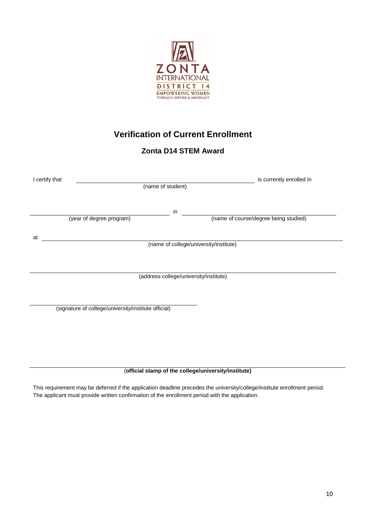

## **Verification of Current Enrollment**

### **Zonta D14 STEM Award**

| I certify that<br>(name of student)                  | is currently enrolled in               |
|------------------------------------------------------|----------------------------------------|
| in<br>(year of degree program)                       | (name of course/degree being studied)  |
| at                                                   |                                        |
|                                                      | (name of college/university/institute) |
|                                                      |                                        |
|                                                      | (address college/university/institute) |
|                                                      |                                        |
| (signature of college/university/institute official) |                                        |
|                                                      |                                        |
|                                                      |                                        |
|                                                      |                                        |
|                                                      |                                        |

(**official stamp of the college/university/institute)**

This requirement may be deferred if the application deadline precedes the university/college/institute enrollment period. The applicant must provide written confirmation of the enrollment period with the application.